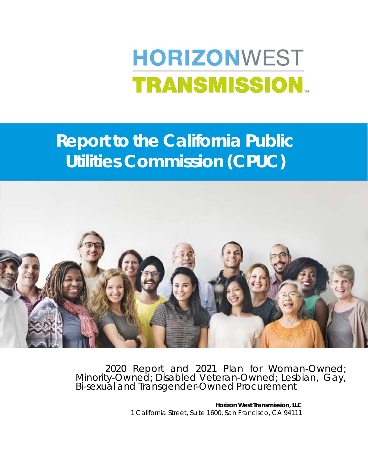# **HORIZONWEST TRANSMISSION.**

# **Report to the California Public Utilities Commission (CPUC)**



2020 Report and 2021 Plan for Woman-Owned; Minority-Owned; Disabled Veteran-Owned; Lesbian, Gay, Bi-sexual and Transgender-Owned Procurement

**Horizon West Transmission, LLC**  1 California Street, Suite 1600, San Francisco, CA 94111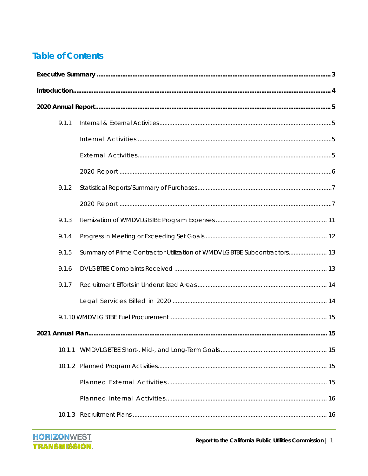### **Table of Contents**

| 9.1.1  |                                                                         |  |  |  |  |  |  |  |
|--------|-------------------------------------------------------------------------|--|--|--|--|--|--|--|
|        |                                                                         |  |  |  |  |  |  |  |
|        |                                                                         |  |  |  |  |  |  |  |
|        |                                                                         |  |  |  |  |  |  |  |
| 9.1.2  |                                                                         |  |  |  |  |  |  |  |
|        |                                                                         |  |  |  |  |  |  |  |
| 9.1.3  |                                                                         |  |  |  |  |  |  |  |
| 9.1.4  |                                                                         |  |  |  |  |  |  |  |
| 9.1.5  | Summary of Prime Contractor Utilization of WMDVLGBTBE Subcontractors 13 |  |  |  |  |  |  |  |
| 9.1.6  |                                                                         |  |  |  |  |  |  |  |
| 9.1.7  |                                                                         |  |  |  |  |  |  |  |
|        |                                                                         |  |  |  |  |  |  |  |
|        |                                                                         |  |  |  |  |  |  |  |
|        |                                                                         |  |  |  |  |  |  |  |
| 10.1.1 |                                                                         |  |  |  |  |  |  |  |
|        |                                                                         |  |  |  |  |  |  |  |
|        |                                                                         |  |  |  |  |  |  |  |
|        |                                                                         |  |  |  |  |  |  |  |
|        |                                                                         |  |  |  |  |  |  |  |

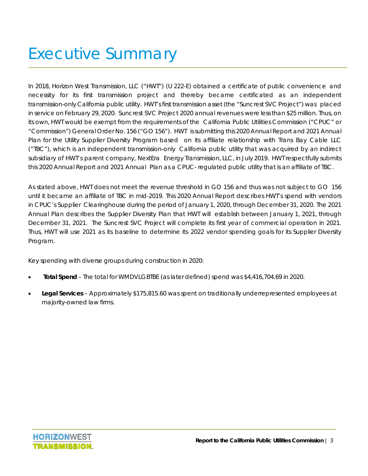# Executive Summary

In 2018, Horizon West Transmission, LLC ("HWT") (U 222-E) obtained a certificate of public convenience and necessity for its first transmission project and thereby became certificated as an independent transmission-only California public utility. HWT's first transmission asset (the "Suncrest SVC Project") was placed in service on February 29, 2020. Suncrest SVC Project 2020 annual revenues were less than \$25 million. Thus, on its own, HWT would be exempt from the requirements of the California Public Utilities Commission ("CPUC" or "Commission") General Order No. 156 ("GO 156"). HWT is submitting this 2020 Annual Report and 2021 Annual Plan for the Utility Supplier Diversity Program based on its affiliate relationship with Trans Bay Cable LLC ("TBC"), which is an independent transmission-only California public utility that was acquired by an indirect subsidiary of HWT's parent company, NextEra Energy Transmission, LLC, in July 2019. HWT respectfully submits this 2020 Annual Report and 2021 Annual Plan as a CPUC- regulated public utility that is an affiliate of TBC.

As stated above, HWT does not meet the revenue threshold in GO 156 and thus was not subject to GO 156 until it became an affiliate of TBC in mid-2019. This 2020 Annual Report describes HWT's spend with vendors in CPUC's Supplier Clearinghouse during the period of January 1, 2020, through December 31, 2020. The 2021 Annual Plan describes the Supplier Diversity Plan that HWT will establish between January 1, 2021, through December 31, 2021. The Suncrest SVC Project will complete its first year of commercial operation in 2021. Thus, HWT will use 2021 as its baseline to determine its 2022 vendor spending goals for its Supplier Diversity Program.

Key spending with diverse groups during construction in 2020:

- **Total Spend**  The total for WMDVLGBTBE (as later defined) spend was \$4,416,704.69 in 2020.
- **Legal Services**  Approximately \$175,815.60 was spent on traditionally underrepresented employees at majority-owned law firms.

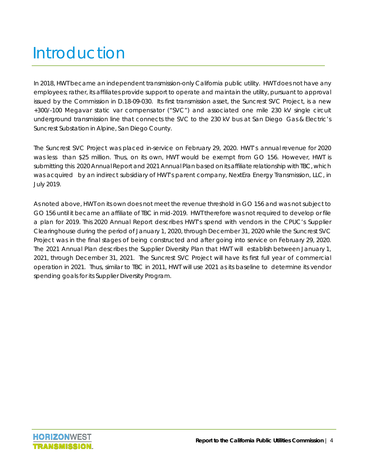# Introduction

In 2018, HWT became an independent transmission-only California public utility. HWT does not have any employees; rather, its affiliates provide support to operate and maintain the utility, pursuant to approval issued by the Commission in D.18-09-030. Its first transmission asset, the Suncrest SVC Project, is a new +300/-100 Megavar static var compensator ("SVC") and associated one mile 230 kV single circuit underground transmission line that connects the SVC to the 230 kV bus at San Diego Gas & Electric's Suncrest Substation in Alpine, San Diego County.

The Suncrest SVC Project was placed in-service on February 29, 2020. HWT's annual revenue for 2020 was less than \$25 million. Thus, on its own, HWT would be exempt from GO 156. However, HWT is submitting this 2020 Annual Report and 2021 Annual Plan based on its affiliate relationship with TBC, which was acquired by an indirect subsidiary of HWT's parent company, NextEra Energy Transmission, LLC, in July 2019.

As noted above, HWT on its own does not meet the revenue threshold in GO 156 and was not subject to GO 156 until it became an affiliate of TBC in mid-2019. HWT therefore was not required to develop or file a plan for 2019. This 2020 Annual Report describes HWT's spend with vendors in the CPUC's Supplier Clearinghouse during the period of January 1, 2020, through December 31, 2020 while the Suncrest SVC Project was in the final stages of being constructed and after going into service on February 29, 2020. The 2021 Annual Plan describes the Supplier Diversity Plan that HWT will establish between January 1, 2021, through December 31, 2021. The Suncrest SVC Project will have its first full year of commercial operation in 2021. Thus, similar to TBC in 2011, HWT will use 2021 as its baseline to determine its vendor spending goals for its Supplier Diversity Program.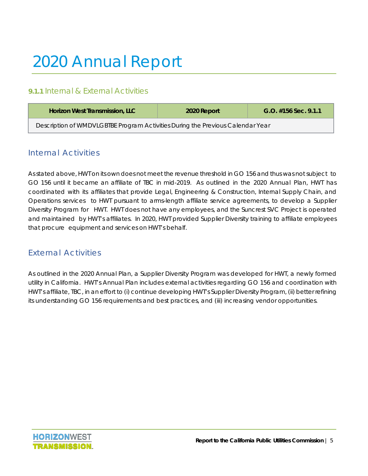# 2020 Annual Report

#### **9.1.1** Internal & External Activities

| Horizon West Transmission, LLC                                                 | 2020 Report | $G.O.$ #156 Sec. 9.1.1 |  |  |  |  |
|--------------------------------------------------------------------------------|-------------|------------------------|--|--|--|--|
| Description of WMDVLGBTBE Program Activities During the Previous Calendar Year |             |                        |  |  |  |  |

#### Internal Activities

As stated above, HWT on its own does not meet the revenue threshold in GO 156 and thus was not subject to GO 156 until it became an affiliate of TBC in mid-2019. As outlined in the 2020 Annual Plan, HWT has coordinated with its affiliates that provide Legal, Engineering & Construction, Internal Supply Chain, and Operations services to HWT pursuant to arms-length affiliate service agreements, to develop a Supplier Diversity Program for HWT. HWT does not have any employees, and the Suncrest SVC Project is operated and maintained by HWT's affiliates. In 2020, HWT provided Supplier Diversity training to affiliate employees that procure equipment and services on HWT's behalf.

#### External Activities

As outlined in the 2020 Annual Plan, a Supplier Diversity Program was developed for HWT, a newly formed utility in California. HWT's Annual Plan includes external activities regarding GO 156 and coordination with HWT's affiliate, TBC, in an effort to (i) continue developing HWT's Supplier Diversity Program, (ii) better refining its understanding GO 156 requirements and best practices, and (iii) increasing vendor opportunities.

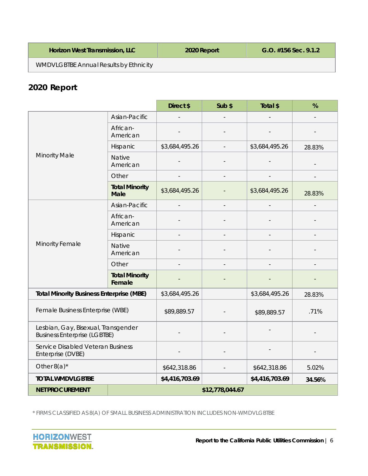| <b>Horizon West Transmission, LLC</b>         | 2020 Report | $G.O.$ #156 Sec. 9.1.2 |
|-----------------------------------------------|-------------|------------------------|
| <b>WMDVLGBTBE Annual Results by Ethnicity</b> |             |                        |

### **2020 Report**

|                                                                            |                                      | Direct \$      | Sub \$          | Total \$       | %              |
|----------------------------------------------------------------------------|--------------------------------------|----------------|-----------------|----------------|----------------|
|                                                                            | Asian-Pacific                        |                |                 |                | $\overline{a}$ |
|                                                                            | African-<br>American                 |                |                 |                |                |
|                                                                            | Hispanic                             | \$3,684,495.26 |                 | \$3,684,495.26 | 28.83%         |
| <b>Minority Male</b>                                                       | Native<br>American                   |                |                 |                |                |
|                                                                            | Other                                |                |                 |                |                |
|                                                                            | <b>Total Minority</b><br><b>Male</b> | \$3,684,495.26 |                 | \$3,684,495.26 | 28.83%         |
|                                                                            | Asian-Pacific                        |                | $\centerdot$    |                |                |
|                                                                            | African-<br>American                 |                |                 |                |                |
|                                                                            | Hispanic                             |                |                 |                |                |
| Minority Female                                                            | <b>Native</b><br>American            |                |                 |                |                |
|                                                                            | Other                                |                |                 |                |                |
|                                                                            | <b>Total Minority</b><br>Female      |                |                 |                |                |
| <b>Total Minority Business Enterprise (MBE)</b>                            |                                      | \$3,684,495.26 |                 | \$3,684,495.26 | 28.83%         |
| Female Business Enterprise (WBE)                                           | \$89,889.57                          |                | \$89,889.57     | .71%           |                |
| Lesbian, Gay, Bisexual, Transgender<br><b>Business Enterprise (LGBTBE)</b> |                                      |                |                 |                |                |
| Service Disabled Veteran Business<br>Enterprise (DVBE)                     |                                      |                |                 |                |                |
| Other $8(a)^*$                                                             | \$642,318.86                         |                | \$642,318.86    | 5.02%          |                |
| <b>TOTAL WMDVLGBTBE</b>                                                    | \$4,416,703.69                       |                | \$4,416,703.69  | 34.56%         |                |
| <b>NET PROCUREMENT</b>                                                     |                                      |                | \$12,778,044.67 |                |                |

\* FIRMS CLASSIFIED AS 8(A) OF SMALL BUSINESS ADMINISTRATION INCLUDES NON-WMDVLGBTBE

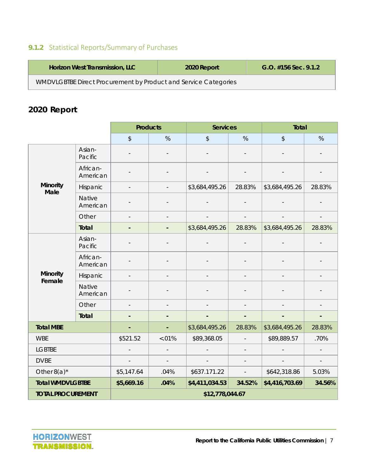### **9.1.2** Statistical Reports/Summary of Purchases

| <b>Horizon West Transmission, LLC</b>                           | 2020 Report | $G.O.$ #156 Sec. 9.1.2 |  |  |  |
|-----------------------------------------------------------------|-------------|------------------------|--|--|--|
| WMDVLGBTBE Direct Procurement by Product and Service Categories |             |                        |  |  |  |

### **2020 Report**

|                           |                           | <b>Products</b>              |                          | <b>Services</b>          |                          | <b>Total</b>   |                          |  |  |
|---------------------------|---------------------------|------------------------------|--------------------------|--------------------------|--------------------------|----------------|--------------------------|--|--|
|                           |                           | \$                           | %                        | \$                       | %                        | \$             | %                        |  |  |
|                           | Asian-<br>Pacific         |                              |                          | $\overline{\phantom{a}}$ |                          |                |                          |  |  |
|                           | African-<br>American      |                              |                          |                          |                          |                |                          |  |  |
| <b>Minority</b><br>Male   | Hispanic                  | $\overline{\phantom{a}}$     |                          | \$3,684,495.26           | 28.83%                   | \$3,684,495.26 | 28.83%                   |  |  |
|                           | <b>Native</b><br>American |                              |                          |                          |                          |                |                          |  |  |
|                           | Other                     | $\overline{\phantom{a}}$     |                          | $\overline{\phantom{a}}$ | $\overline{\phantom{a}}$ |                | $\overline{a}$           |  |  |
|                           | <b>Total</b>              | $\qquad \qquad \blacksquare$ | $\overline{\phantom{a}}$ | \$3,684,495.26           | 28.83%                   | \$3,684,495.26 | 28.83%                   |  |  |
|                           | Asian-<br>Pacific         |                              |                          |                          |                          |                |                          |  |  |
|                           | African-<br>American      |                              |                          |                          |                          |                |                          |  |  |
| <b>Minority</b><br>Female | Hispanic                  | $\overline{a}$               |                          |                          |                          |                |                          |  |  |
|                           | <b>Native</b><br>American |                              |                          |                          |                          |                |                          |  |  |
|                           | Other                     |                              |                          |                          |                          |                |                          |  |  |
|                           | Total                     |                              |                          | $\blacksquare$           | ٠                        |                | $\overline{\phantom{0}}$ |  |  |
| <b>Total MBE</b>          |                           | ٠                            | ÷,                       | \$3,684,495.26           | 28.83%                   | \$3,684,495.26 | 28.83%                   |  |  |
| <b>WBE</b>                |                           | \$521.52                     | $-.01%$                  |                          | \$89,368.05              |                | .70%                     |  |  |
| <b>LGBTBE</b>             |                           |                              |                          |                          |                          |                |                          |  |  |
| <b>DVBE</b>               |                           |                              | $\overline{\phantom{a}}$ |                          |                          |                | $\overline{\phantom{a}}$ |  |  |
| Other $8(a)^*$            |                           | \$5,147.64                   | .04%                     | \$637.171.22             | $\overline{\phantom{a}}$ | \$642,318.86   | 5.03%                    |  |  |
| <b>Total WMDVLGBTBE</b>   |                           | \$5,669.16                   | .04%                     | \$4,411,034.53           | 34.52%                   | \$4,416,703.69 | 34.56%                   |  |  |
| <b>TOTAL PROCUREMENT</b>  |                           | \$12,778,044.67              |                          |                          |                          |                |                          |  |  |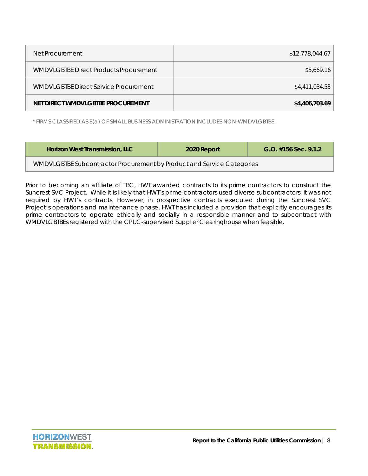| Net Procurement                        | \$12,778,044.67 |
|----------------------------------------|-----------------|
| WMDVLGBTBE Direct Products Procurement | \$5,669.16      |
| WMDVLGBTBE Direct Service Procurement  | \$4,411,034.53  |
| NET DIRECT WMDVLGBTBE PROCUREMENT      | \$4,406,703.69  |

\* FIRMS CLASSIFIED AS 8(a) OF SMALL BUSINESS ADMINISTRATION INCLUDES NON-WMDVLGBTBE

| Horizon West Transmission, LLC                                         | 2020 Report | $G.O.$ #156 Sec. 9.1.2 |  |  |  |  |
|------------------------------------------------------------------------|-------------|------------------------|--|--|--|--|
| WMDVLGBTBE Subcontractor Procurement by Product and Service Categories |             |                        |  |  |  |  |

Prior to becoming an affiliate of TBC, HWT awarded contracts to its prime contractors to construct the Suncrest SVC Project. While it is likely that HWT's prime contractors used diverse subcontractors, it was not required by HWT's contracts. However, in prospective contracts executed during the Suncrest SVC Project's operations and maintenance phase, HWT has included a provision that explicitly encourages its prime contractors to operate ethically and socially in a responsible manner and to subcontract with WMDVLGBTBEs registered with the CPUC-supervised Supplier Clearinghouse when feasible.

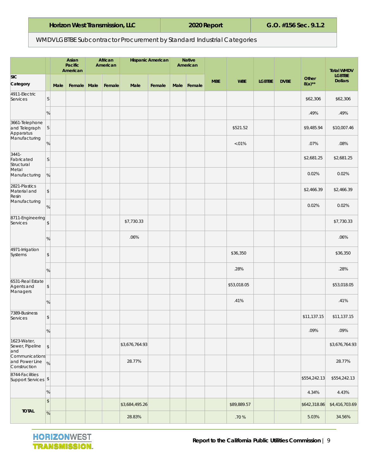| Horizon West Transmission, LLC |  |
|--------------------------------|--|
|--------------------------------|--|

#### WMDVLGBTBE Subcontractor Procurement by Standard Industrial Categories

|                                                               |                 |      | Asian<br>Pacific<br>American | African<br>American |                | <b>Hispanic American</b> |      | <b>Native</b><br>American |            |             |               |             |                    | <b>Total WMDV</b>               |
|---------------------------------------------------------------|-----------------|------|------------------------------|---------------------|----------------|--------------------------|------|---------------------------|------------|-------------|---------------|-------------|--------------------|---------------------------------|
| <b>SIC</b><br>Category                                        |                 | Male | Female Male                  | Female              | Male           | Female                   | Male | Female                    | <b>MBE</b> | <b>WBE</b>  | <b>LGBTBE</b> | <b>DVBE</b> | Other<br>$8(a)$ ** | <b>LGBTBE</b><br><b>Dollars</b> |
| 4911-Electric<br>Services                                     | S.              |      |                              |                     |                |                          |      |                           |            |             |               |             | \$62,306           | \$62,306                        |
|                                                               | %               |      |                              |                     |                |                          |      |                           |            |             |               |             | .49%               | .49%                            |
| 3661-Telephone<br>and Telegraph<br>Apparatus                  | S               |      |                              |                     |                |                          |      |                           |            | \$521.52    |               |             | \$9,485.94         | \$10,007.46                     |
| Manufacturing                                                 | %               |      |                              |                     |                |                          |      |                           |            | $< 01\%$    |               |             | .07%               | .08%                            |
| $3441 -$<br>Fabricated<br>Structural                          | $\vert S \vert$ |      |                              |                     |                |                          |      |                           |            |             |               |             | \$2,681.25         | \$2,681.25                      |
| Metal<br>Manufacturing                                        | %               |      |                              |                     |                |                          |      |                           |            |             |               |             | 0.02%              | 0.02%                           |
| 2821-Plastics<br>Material and<br>Resin                        | $\sqrt{2}$      |      |                              |                     |                |                          |      |                           |            |             |               |             | \$2,466.39         | \$2,466.39                      |
| Manufacturing                                                 | %               |      |                              |                     |                |                          |      |                           |            |             |               |             | 0.02%              | 0.02%                           |
| 8711-Engineering<br>Services                                  | $\sqrt{2}$      |      |                              |                     | \$7,730.33     |                          |      |                           |            |             |               |             |                    | \$7,730.33                      |
|                                                               | %               |      |                              |                     | .06%           |                          |      |                           |            |             |               |             |                    | .06%                            |
| 4971-Irrigation<br>Systems                                    | $\sqrt{2}$      |      |                              |                     |                |                          |      |                           |            | \$36,350    |               |             |                    | \$36,350                        |
|                                                               | %               |      |                              |                     |                |                          |      |                           |            | .28%        |               |             |                    | .28%                            |
| 6531-Real Estate<br>Agents and<br>Managers                    | $$\mathbb{S}$$  |      |                              |                     |                |                          |      |                           |            | \$53,018.05 |               |             |                    | \$53,018.05                     |
|                                                               | %               |      |                              |                     |                |                          |      |                           |            | .41%        |               |             |                    | .41%                            |
| 7389-Business<br>Services                                     | $\,$            |      |                              |                     |                |                          |      |                           |            |             |               |             | \$11,137.15        | \$11,137.15                     |
|                                                               | %               |      |                              |                     |                |                          |      |                           |            |             |               |             | .09%               | .09%                            |
| 1623-Water,<br>Sewer, Pipeline<br>and                         | \$              |      |                              |                     | \$3,676,764.93 |                          |      |                           |            |             |               |             |                    | \$3,676,764.93                  |
| Communications <sup>-</sup><br>and Power Line<br>Construction | $\frac{9}{6}$   |      |                              |                     | 28.77%         |                          |      |                           |            |             |               |             |                    | 28.77%                          |
| 8744-Facilities<br>Support Services   \$                      |                 |      |                              |                     |                |                          |      |                           |            |             |               |             | \$554,242.13       | \$554,242.13                    |
|                                                               | %               |      |                              |                     |                |                          |      |                           |            |             |               |             | 4.34%              | 4.43%                           |
|                                                               | $\sqrt{ }$      |      |                              |                     | \$3,684,495.26 |                          |      |                           |            | \$89,889.57 |               |             | \$642,318.86       | \$4,416,703.69                  |
| <b>TOTAL</b>                                                  | $\%$            |      |                              |                     | 28.83%         |                          |      |                           |            | $.70\,\%$   |               |             | 5.03%              | 34.56%                          |

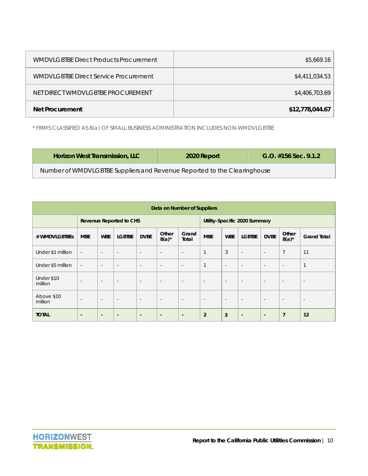| <b>WMDVLGBTBE Direct Products Procurement</b> | \$5,669.16      |
|-----------------------------------------------|-----------------|
| <b>WMDVLGBTBE Direct Service Procurement</b>  | \$4,411,034.53  |
| NET DIRECT WMDVLGBTBE PROCUREMENT             | \$4,406,703.69  |
| Net Procurement                               | \$12,778,044.67 |

\* FIRMS CLASSIFIED AS 8(a) OF SMALL BUSINESS ADMINISTRATION INCLUDES NON-WMDVLGBTBE

| Horizon West Transmission, LLC                                           | 2020 Report | $G.O.$ #156 Sec. 9.1.2 |  |  |  |
|--------------------------------------------------------------------------|-------------|------------------------|--|--|--|
| Number of WMDVLGBTBE Suppliers and Revenue Reported to the Clearinghouse |             |                        |  |  |  |

| Data on Number of Suppliers |                                |                          |                          |                          |                          |                               |                          |                          |                          |                          |                          |                          |
|-----------------------------|--------------------------------|--------------------------|--------------------------|--------------------------|--------------------------|-------------------------------|--------------------------|--------------------------|--------------------------|--------------------------|--------------------------|--------------------------|
|                             | <b>Revenue Reported to CHS</b> |                          |                          |                          |                          | Utility-Specific 2020 Summary |                          |                          |                          |                          |                          |                          |
| # WMDVLGBTBEs               | <b>MBE</b>                     | <b>WBE</b>               | <b>LGBTBE</b>            | <b>DVBE</b>              | Other<br>$8(a)^*$        | Grand<br>Total                | <b>MBE</b>               | <b>WBE</b>               | <b>LGBTBE</b>            | <b>DVBE</b>              | Other<br>$8(a)^*$        | <b>Grand Total</b>       |
| Under \$1 million           | $\overline{\phantom{a}}$       | $\overline{\phantom{a}}$ | $\overline{\phantom{a}}$ | $\overline{\phantom{a}}$ | $\overline{\phantom{a}}$ | $\overline{\phantom{a}}$      | $\mathbf{1}$             | 3                        | $\overline{\phantom{a}}$ | $\sim$                   | $\overline{7}$           | 11                       |
| Under \$5 million           | $\overline{\phantom{a}}$       | $\overline{\phantom{a}}$ | $\overline{\phantom{a}}$ | $\overline{\phantom{a}}$ | $\overline{\phantom{a}}$ | $\overline{\phantom{a}}$      | $\mathbf{1}$             | $\overline{\phantom{a}}$ | $\overline{\phantom{a}}$ | $\overline{\phantom{a}}$ | $\overline{\phantom{a}}$ | $\mathbf{1}$             |
| Under \$10<br>million       | $\overline{\phantom{a}}$       | $\overline{\phantom{a}}$ | $\overline{\phantom{a}}$ | $\overline{\phantom{a}}$ | $\overline{\phantom{a}}$ | $\overline{\phantom{a}}$      | $\overline{\phantom{a}}$ | $\overline{\phantom{a}}$ | $\overline{\phantom{a}}$ | $\overline{\phantom{a}}$ | $\overline{\phantom{a}}$ | $\overline{\phantom{a}}$ |
| Above \$10<br>million       | $\overline{\phantom{a}}$       | $\overline{\phantom{a}}$ | $\overline{\phantom{a}}$ | $\overline{\phantom{a}}$ | $\overline{\phantom{a}}$ | $\overline{\phantom{a}}$      | $\overline{\phantom{a}}$ | $\overline{\phantom{a}}$ | $\overline{\phantom{a}}$ | $\overline{\phantom{a}}$ | $\overline{\phantom{a}}$ | $\overline{\phantom{a}}$ |
| <b>TOTAL</b>                | $\blacksquare$                 | $\blacksquare$           | $\overline{\phantom{a}}$ | $\overline{\phantom{a}}$ | $\overline{\phantom{a}}$ | $\blacksquare$                | $\overline{2}$           | 3                        | $\overline{\phantom{a}}$ | $\blacksquare$           | $\overline{7}$           | 12                       |

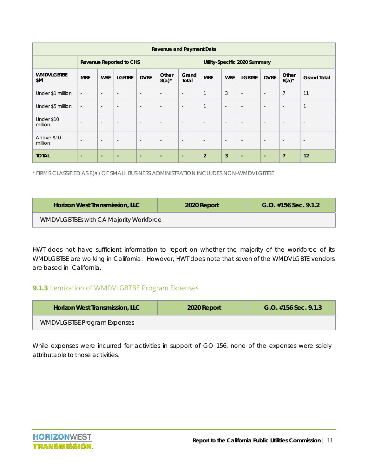| <b>Revenue and Payment Data</b> |                                |                          |                          |                          |                          |                               |                          |                          |                          |                          |                          |                          |
|---------------------------------|--------------------------------|--------------------------|--------------------------|--------------------------|--------------------------|-------------------------------|--------------------------|--------------------------|--------------------------|--------------------------|--------------------------|--------------------------|
|                                 | <b>Revenue Reported to CHS</b> |                          |                          |                          |                          | Utility-Specific 2020 Summary |                          |                          |                          |                          |                          |                          |
| <b>WMDVLGBTBE</b><br>\$M        | <b>MBE</b>                     | <b>WBE</b>               | <b>LGBTBE</b>            | <b>DVBE</b>              | Other<br>$8(a)^*$        | Grand<br>Total                | <b>MBE</b>               | <b>WBE</b>               | <b>LGBTBE</b>            | <b>DVBE</b>              | Other<br>$8(a)^*$        | <b>Grand Total</b>       |
| Under \$1 million               | $\overline{\phantom{a}}$       | $\overline{\phantom{a}}$ | ٠                        | $\overline{\phantom{a}}$ | $\overline{\phantom{a}}$ | $\overline{\phantom{a}}$      | $\mathbf{1}$             | 3                        | $\overline{\phantom{a}}$ | $\overline{\phantom{a}}$ | $\overline{7}$           | 11                       |
| Under \$5 million               | $\overline{\phantom{a}}$       | $\sim$                   | $\overline{\phantom{a}}$ | $\sim$                   | $\overline{\phantom{a}}$ | $\overline{\phantom{a}}$      | $\mathbf{1}$             | $\overline{\phantom{a}}$ | $\overline{\phantom{a}}$ | $\overline{\phantom{a}}$ | $\overline{\phantom{a}}$ | $\overline{1}$           |
| Under \$10<br>million           | $\overline{\phantom{a}}$       | $\overline{\phantom{a}}$ | $\sim$                   | $\sim$                   | $\overline{\phantom{a}}$ | $\overline{\phantom{a}}$      | $\overline{\phantom{a}}$ | $\overline{\phantom{a}}$ | $\overline{\phantom{a}}$ | $\overline{\phantom{a}}$ | $\overline{\phantom{a}}$ | $\overline{\phantom{a}}$ |
| Above \$10<br>million           | $\overline{\phantom{a}}$       | $\overline{\phantom{a}}$ | $\sim$                   | $\overline{\phantom{a}}$ | $\overline{\phantom{a}}$ | $\overline{\phantom{a}}$      | $\overline{\phantom{a}}$ | $\overline{\phantom{a}}$ | $\overline{\phantom{a}}$ | $\overline{\phantom{a}}$ | $\overline{\phantom{a}}$ | $\overline{\phantom{a}}$ |
| <b>TOTAL</b>                    | ٠                              | $\overline{\phantom{0}}$ | -                        | $\blacksquare$           | $\sim$                   | $\blacksquare$                | $\overline{2}$           | $\overline{3}$           | $\blacksquare$           | $\blacksquare$           | $\overline{7}$           | 12                       |

\* FIRMS CLASSIFIED AS 8(a) OF SMALL BUSINESS ADMINISTRATION INCLUDES NON-WMDVLGBTBE

| <b>Horizon West Transmission, LLC</b>  | 2020 Report | $G.O.$ #156 Sec. 9.1.2 |
|----------------------------------------|-------------|------------------------|
| WMDVLGBTBEs with CA Majority Workforce |             |                        |

HWT does not have sufficient information to report on whether the majority of the workforce of its WMDLGBTBE are working in California. However, HWT does note that seven of the WMDVLGBTE vendors are based in California.

#### **9.1.3** Itemization of WMDVLGBTBE Program Expenses

| <b>Horizon West Transmission, LLC</b> | 2020 Report | $G.O.$ #156 Sec. 9.1.3 |
|---------------------------------------|-------------|------------------------|
| <b>WMDVLGBTBE Program Expenses</b>    |             |                        |

While expenses were incurred for activities in support of GO 156, none of the expenses were solely attributable to those activities.

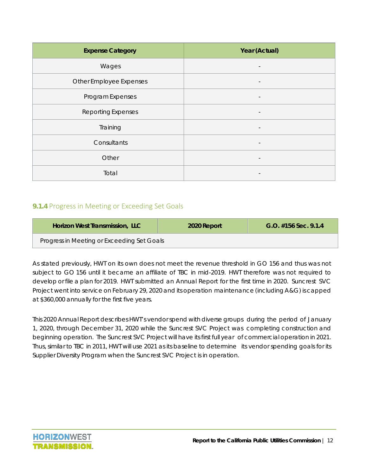| <b>Expense Category</b>   | Year (Actual)                |
|---------------------------|------------------------------|
| Wages                     |                              |
| Other Employee Expenses   |                              |
| Program Expenses          |                              |
| <b>Reporting Expenses</b> | $\qquad \qquad \blacksquare$ |
| Training                  |                              |
| Consultants               | $\overline{\phantom{a}}$     |
| Other                     |                              |
| Total                     |                              |

#### **9.1.4** Progress in Meeting or Exceeding Set Goals

| Horizon West Transmission, LLC             | 2020 Report | $G.O.$ #156 Sec. 9.1.4 |
|--------------------------------------------|-------------|------------------------|
| Progress in Meeting or Exceeding Set Goals |             |                        |

As stated previously, HWT on its own does not meet the revenue threshold in GO 156 and thus was not subject to GO 156 until it became an affiliate of TBC in mid-2019. HWT therefore was not required to develop or file a plan for 2019. HWT submitted an Annual Report for the first time in 2020. Suncrest SVC Project went into service on February 29, 2020 and its operation maintenance (including A&G) is capped at \$360,000 annually for the first five years.

This 2020 Annual Report describes HWT's vendor spend with diverse groups during the period of January 1, 2020, through December 31, 2020 while the Suncrest SVC Project was completing construction and beginning operation. The Suncrest SVC Project will have its first full year of commercial operation in 2021. Thus, similar to TBC in 2011, HWT will use 2021 as its baseline to determine its vendor spending goals for its Supplier Diversity Program when the Suncrest SVC Project is in operation.

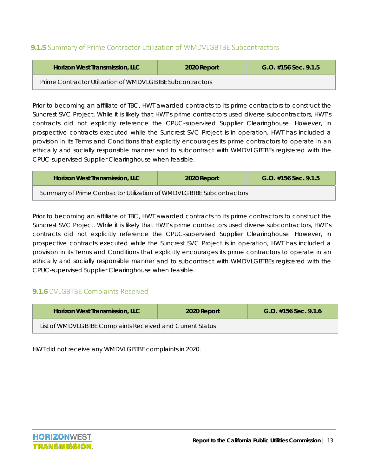#### **9.1.5** Summary of Prime Contractor Utilization of WMDVLGBTBE Subcontractors

| <b>Horizon West Transmission, LLC</b>                     | 2020 Report | $G.O.$ #156 Sec. 9.1.5 |  |  |  |
|-----------------------------------------------------------|-------------|------------------------|--|--|--|
| Prime Contractor Utilization of WMDVLGBTBE Subcontractors |             |                        |  |  |  |

Prior to becoming an affiliate of TBC, HWT awarded contracts to its prime contractors to construct the Suncrest SVC Project. While it is likely that HWT's prime contractors used diverse subcontractors, HWT's contracts did not explicitly reference the CPUC-supervised Supplier Clearinghouse. However, in prospective contracts executed while the Suncrest SVC Project is in operation, HWT has included a provision in its Terms and Conditions that explicitly encourages its prime contractors to operate in an ethically and socially responsible manner and to subcontract with WMDVLGBTBEs registered with the CPUC-supervised Supplier Clearinghouse when feasible.

| <b>Horizon West Transmission, LLC</b>                                | 2020 Report | $G.O.$ #156 Sec. 9.1.5 |  |  |  |
|----------------------------------------------------------------------|-------------|------------------------|--|--|--|
| Summary of Prime Contractor Utilization of WMDVLGBTBE Subcontractors |             |                        |  |  |  |

Prior to becoming an affiliate of TBC, HWT awarded contracts to its prime contractors to construct the Suncrest SVC Project. While it is likely that HWT's prime contractors used diverse subcontractors, HWT's contracts did not explicitly reference the CPUC-supervised Supplier Clearinghouse. However, in prospective contracts executed while the Suncrest SVC Project is in operation, HWT has included a provision in its Terms and Conditions that explicitly encourages its prime contractors to operate in an ethically and socially responsible manner and to subcontract with WMDVLGBTBEs registered with the CPUC-supervised Supplier Clearinghouse when feasible.

#### **9.1.6** DVLGBTBE Complaints Received

| <b>Horizon West Transmission, LLC</b>                     | 2020 Report | $G.O.$ #156 Sec. 9.1.6 |  |  |
|-----------------------------------------------------------|-------------|------------------------|--|--|
| List of WMDVLGBTBE Complaints Received and Current Status |             |                        |  |  |

HWT did not receive any WMDVLGBTBE complaints in 2020.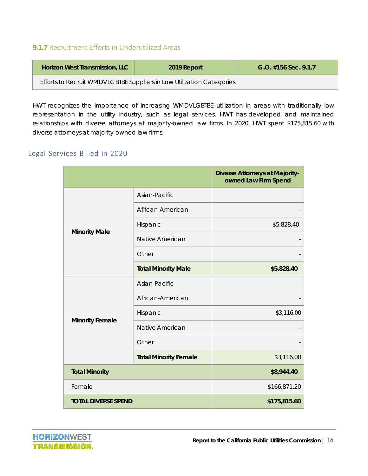#### **9.1.7** Recruitment Efforts in Underutilized Areas

| <b>Horizon West Transmission, LLC</b>                                 | 2019 Report | $G.O.$ #156 Sec. 9.1.7 |
|-----------------------------------------------------------------------|-------------|------------------------|
| Efforts to Recruit WMDVLGBTBE Suppliers in Low Utilization Categories |             |                        |

HWT recognizes the importance of increasing WMDVLGBTBE utilization in areas with traditionally low representation in the utility industry, such as legal services. HWT has developed and maintained relationships with diverse attorneys at majority-owned law firms. In 2020, HWT spent \$175,815.60 with diverse attorneys at majority-owned law firms.

#### Legal Services Billed in 2020

|                            |                              | <b>Diverse Attorneys at Majority-</b><br>owned Law Firm Spend |
|----------------------------|------------------------------|---------------------------------------------------------------|
|                            | Asian-Pacific                |                                                               |
|                            | African-American             |                                                               |
| <b>Minority Male</b>       | Hispanic                     | \$5,828.40                                                    |
|                            | Native American              |                                                               |
|                            | Other                        |                                                               |
|                            | <b>Total Minority Male</b>   | \$5,828.40                                                    |
|                            | Asian-Pacific                |                                                               |
|                            | African-American             |                                                               |
|                            | Hispanic                     | \$3,116.00                                                    |
| <b>Minority Female</b>     | Native American              |                                                               |
|                            | Other                        |                                                               |
|                            | <b>Total Minority Female</b> | \$3,116.00                                                    |
| <b>Total Minority</b>      |                              | \$8,944.40                                                    |
| Female                     |                              | \$166,871.20                                                  |
| <b>TOTAL DIVERSE SPEND</b> |                              | \$175,815.60                                                  |

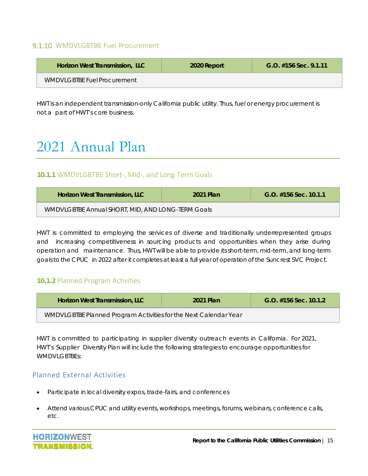#### 9.1.10 WMDVLGBTBE Fuel Procurement

| <b>Horizon West Transmission, LLC</b> | 2020 Report | $G.O.$ #156 Sec. 9.1.11 |
|---------------------------------------|-------------|-------------------------|
| WMDVLGBTBE Fuel Procurement           |             |                         |

HWT is an independent transmission-only California public utility. Thus, fuel or energy procurement is not a part of HWT's core business.

### 2021 Annual Plan

#### **10.1.1** WMDVLGBTBE Short‐, Mid‐, and Long‐Term Goals

| <b>Horizon West Transmission, LLC</b>             | 2021 Plan | $G.O.$ #156 Sec. 10.1.1 |
|---------------------------------------------------|-----------|-------------------------|
| WMDVLGBTBE Annual SHORT, MID, AND LONG-TERM Goals |           |                         |

HWT is committed to employing the services of diverse and traditionally underrepresented groups and increasing competitiveness in sourcing products and opportunities when they arise during operation and maintenance. Thus, HWT will be able to provide its short-term, mid-term, and long-term goals to the CPUC in 2022 after it completes at least a full year of operation of the Suncrest SVC Project.

#### **10.1.2** Planned Program Activities

| <b>Horizon West Transmission, LLC</b>                            | 2021 Plan | $G.O.$ #156 Sec. 10.1.2 |
|------------------------------------------------------------------|-----------|-------------------------|
| WMDVLGBTBE Planned Program Activities for the Next Calendar Year |           |                         |

HWT is committed to participating in supplier diversity outreach events in California. For 2021, HWT's Supplier Diversity Plan will include the following strategies to encourage opportunities for WMDVI GBTBEs:

#### Planned External Activities

- Participate in local diversity expos, trade-fairs, and conferences
- Attend various CPUC and utility events, workshops, meetings, forums, webinars, conference calls, etc.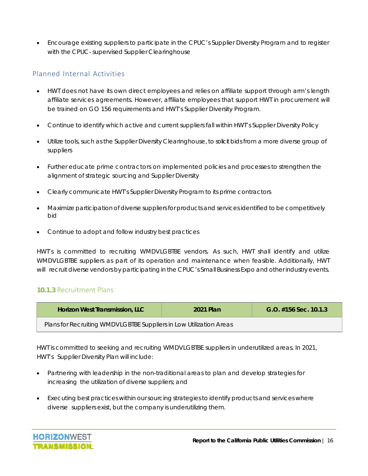Encourage existing suppliers to participate in the CPUC's Supplier Diversity Program and to register with the CPUC- supervised Supplier Clearinghouse

#### Planned Internal Activities

- HWT does not have its own direct employees and relies on affiliate support through arm's length affiliate services agreements. However, affiliate employees that support HWT in procurement will be trained on GO 156 requirements and HWT's Supplier Diversity Program.
- Continue to identify which active and current suppliers fall within HWT's Supplier Diversity Policy
- Utilize tools, such as the Supplier Diversity Clearinghouse, to solicit bids from a more diverse group of suppliers
- Further educate prime contractors on implemented policies and processes to strengthen the alignment of strategic sourcing and Supplier Diversity
- Clearly communicate HWT's Supplier Diversity Program to its prime contractors
- Maximize participation of diverse suppliers for products and services identified to be competitively bid
- Continue to adopt and follow industry best practices

HWT's is committed to recruiting WMDVLGBTBE vendors. As such, HWT shall identify and utilize WMDVLGBTBE suppliers as part of its operation and maintenance when feasible. Additionally, HWT will recruit diverse vendors by participating in the CPUC's Small Business Expo and other industry events.

#### **10.1.3** Recruitment Plans

| <b>Horizon West Transmission, LLC</b>                              | 2021 Plan | $G.O.$ #156 Sec. 10.1.3 |
|--------------------------------------------------------------------|-----------|-------------------------|
| Plans for Recruiting WMDVLGBTBE Suppliers in Low Utilization Areas |           |                         |

HWT is committed to seeking and recruiting WMDVLGBTBE suppliers in underutilized areas. In 2021, HWT's Supplier Diversity Plan will include:

- Partnering with leadership in the non-traditional areas to plan and develop strategies for increasing the utilization of diverse suppliers; and
- Executing best practices within our sourcing strategies to identify products and services where diverse suppliers exist, but the company is underutilizing them.